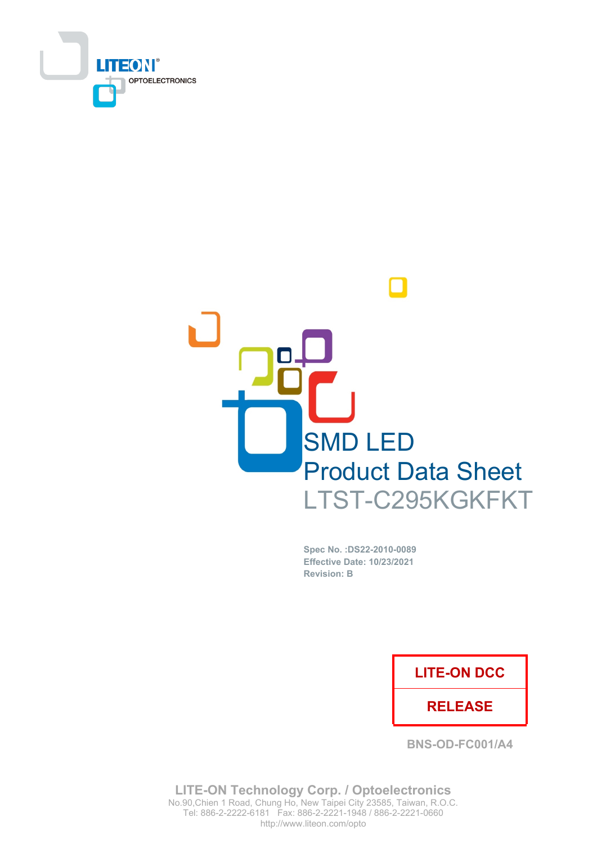



Spec No. : DS22-2010-0089 **Effective Date: 10/23/2021 Revision: B** 

## **LITE-ON DCC**

## **RELEASE**

**BNS-OD-FC001/A4** 

**LITE-ON Technology Corp. / Optoelectronics** No.90, Chien 1 Road, Chung Ho, New Taipei City 23585, Taiwan, R.O.C. Tel: 886-2-2222-6181 Fax: 886-2-2221-1948 / 886-2-2221-0660 http://www.liteon.com/opto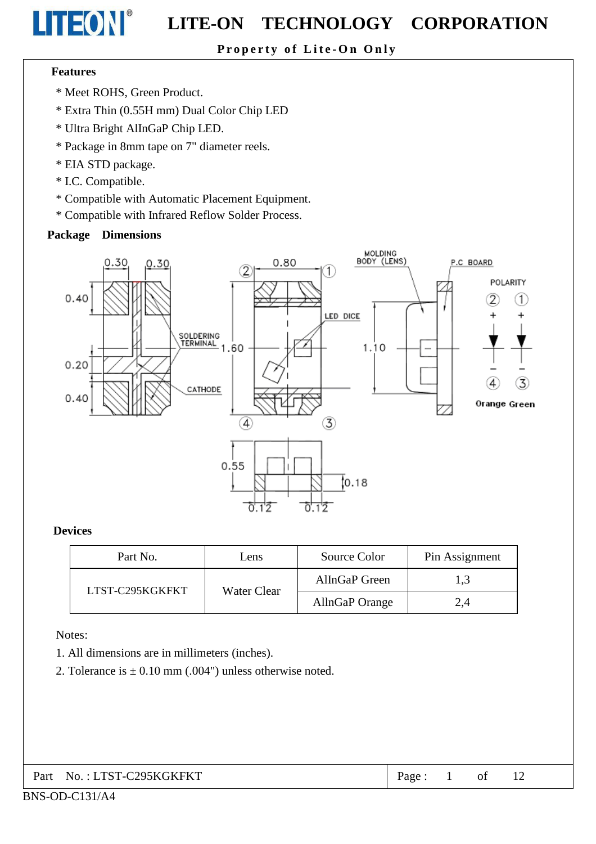Property of Lite-On Only

#### **Features**

LITEON®

- \* Meet ROHS, Green Product.
- \* Extra Thin (0.55H mm) Dual Color Chip LED
- \* Ultra Bright AlInGaP Chip LED.
- \* Package in 8mm tape on 7" diameter reels.
- \* EIA STD package.
- \* I.C. Compatible.
- \* Compatible with Automatic Placement Equipment.
- \* Compatible with Infrared Reflow Solder Process.

#### **Package Dimensions**



#### **Devices**

| Part No.        | Lens        | Source Color   | Pin Assignment |
|-----------------|-------------|----------------|----------------|
| LTST-C295KGKFKT |             | AlInGaP Green  | 1,3            |
|                 | Water Clear | AllnGaP Orange | 2,4            |

Notes:

- 1. All dimensions are in millimeters (inches).
- 2. Tolerance is  $\pm$  0.10 mm (.004") unless otherwise noted.

| Part No.: LTST-C295KGKFKT |
|---------------------------|
|                           |

 $\mathbf{1}$  $\sigma$ f 12 Page: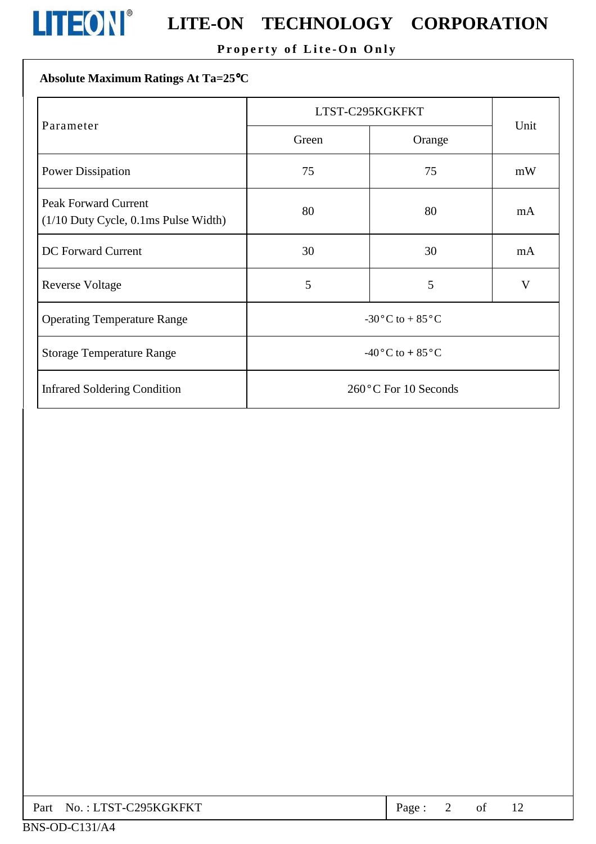

# **LITEON**<sup>®</sup> LITE-ON TECHNOLOGY CORPORATION

## Property of Lite-On Only

### Absolute Maximum Ratings At Ta=25°C

|                                                                          | LTST-C295KGKFKT                               | Unit |    |  |
|--------------------------------------------------------------------------|-----------------------------------------------|------|----|--|
| Parameter                                                                | Green<br>Orange                               |      |    |  |
| <b>Power Dissipation</b>                                                 | 75                                            | 75   | mW |  |
| <b>Peak Forward Current</b><br>$(1/10$ Duty Cycle, $0.1$ ms Pulse Width) | 80                                            | 80   | mA |  |
| <b>DC</b> Forward Current                                                | 30                                            | 30   | mA |  |
| <b>Reverse Voltage</b>                                                   | 5                                             | 5    | V  |  |
| <b>Operating Temperature Range</b>                                       | -30 $\rm{^{\circ}C}$ to + 85 $\rm{^{\circ}C}$ |      |    |  |
| <b>Storage Temperature Range</b>                                         | -40 $\rm ^{o}C$ to + 85 $\rm ^{o}C$           |      |    |  |
| <b>Infrared Soldering Condition</b>                                      | 260 °C For 10 Seconds                         |      |    |  |

| Part No.: LTST-C295KGKFKT | Page: |  |  |  |  |
|---------------------------|-------|--|--|--|--|
|---------------------------|-------|--|--|--|--|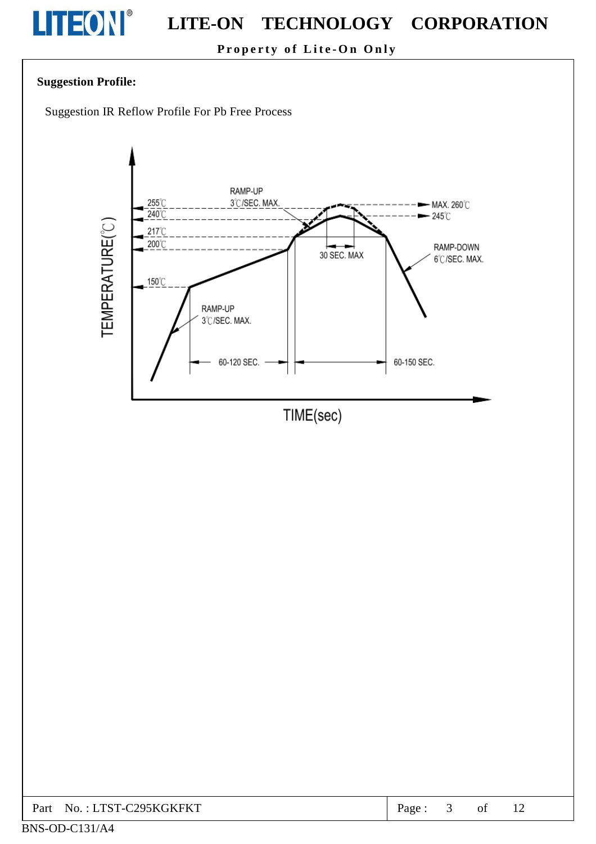

Property of Lite-On Only

#### **Suggestion Profile:**

Suggestion IR Reflow Profile For Pb Free Process



| C295KGKFKT<br>$\top$ TYT<br>Part<br>$\cdot$ .<br>No.<br>. C | 'age |  | ΟĪ | $\perp$ |  |
|-------------------------------------------------------------|------|--|----|---------|--|
|-------------------------------------------------------------|------|--|----|---------|--|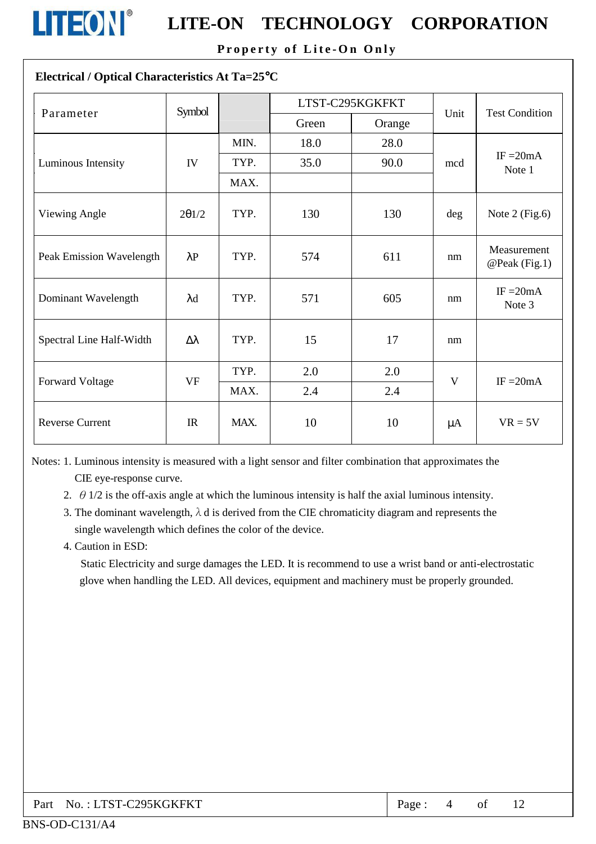

Property of Lite-On Only

#### Electrical / Optical Characteristics At Ta=25°C

| Parameter                | Symbol           |      | LTST-C295KGKFKT |        | Unit         | <b>Test Condition</b>           |  |
|--------------------------|------------------|------|-----------------|--------|--------------|---------------------------------|--|
|                          |                  |      | Green           | Orange |              |                                 |  |
|                          |                  | MIN. | 18.0            | 28.0   |              |                                 |  |
| Luminous Intensity       | IV               | TYP. | 35.0            | 90.0   | mcd          | $IF = 20mA$<br>Note 1           |  |
|                          |                  | MAX. |                 |        |              |                                 |  |
| Viewing Angle            | 201/2            | TYP. | 130             | 130    | deg          | Note $2$ (Fig.6)                |  |
| Peak Emission Wavelength | $\lambda$ P      | TYP. | 574             | 611    | nm           | Measurement<br>$@$ Peak (Fig.1) |  |
| Dominant Wavelength      | $\lambda$ d      | TYP. | 571             | 605    | nm           | $IF = 20mA$<br>Note 3           |  |
| Spectral Line Half-Width | $\Delta \lambda$ | TYP. | 15              | 17     | nm           |                                 |  |
|                          |                  | TYP. | 2.0             | 2.0    | $\mathbf{V}$ |                                 |  |
| <b>Forward Voltage</b>   | <b>VF</b>        | MAX. | 2.4             | 2.4    |              | IF $=20mA$                      |  |
| <b>Reverse Current</b>   | IR               | MAX. | 10              | 10     | $\mu A$      | $VR = 5V$                       |  |

Notes: 1. Luminous intensity is measured with a light sensor and filter combination that approximates the CIE eye-response curve.

- 2.  $\theta$  1/2 is the off-axis angle at which the luminous intensity is half the axial luminous intensity.
- 3. The dominant wavelength,  $\lambda$  d is derived from the CIE chromaticity diagram and represents the single wavelength which defines the color of the device.

#### 4. Caution in ESD:

Static Electricity and surge damages the LED. It is recommend to use a wrist band or anti-electrostatic glove when handling the LED. All devices, equipment and machinery must be properly grounded.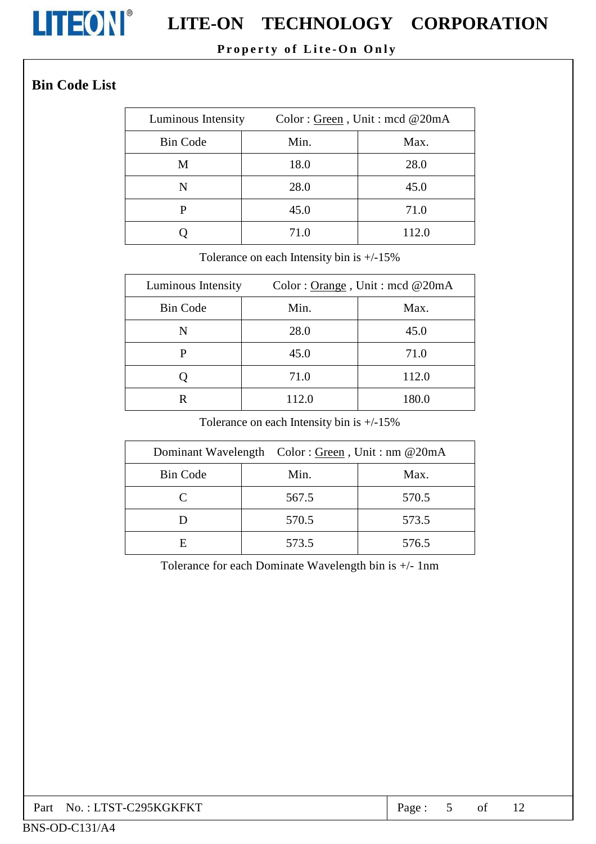

# **LITEON**<sup>®</sup> LITE-ON TECHNOLOGY CORPORATION

## Property of Lite-On Only

## **Bin Code List**

| Luminous Intensity | Color: Green, Unit: med @20mA |       |  |  |  |
|--------------------|-------------------------------|-------|--|--|--|
| <b>Bin Code</b>    | Min.                          | Max.  |  |  |  |
| M                  | 18.0                          | 28.0  |  |  |  |
| N                  | 28.0                          | 45.0  |  |  |  |
| P                  | 45.0                          | 71.0  |  |  |  |
|                    | 71.0                          | 112.0 |  |  |  |

Tolerance on each Intensity bin is  $+/-15\%$ 

| Luminous Intensity | Color: Orange, Unit: mcd $@20mA$ |       |  |  |
|--------------------|----------------------------------|-------|--|--|
| <b>Bin Code</b>    | Min.                             | Max.  |  |  |
| N                  | 28.0                             | 45.0  |  |  |
| р                  | 45.0                             | 71.0  |  |  |
|                    | 71.0                             | 112.0 |  |  |
|                    | 112.0                            | 180.0 |  |  |

Tolerance on each Intensity bin is  $+/-15\%$ 

|                             | Dominant Wavelength Color: Green, Unit: nm @20mA |       |
|-----------------------------|--------------------------------------------------|-------|
| <b>Bin Code</b>             | Min.                                             | Max.  |
| $\mathcal{C}_{\mathcal{C}}$ | 567.5                                            | 570.5 |
|                             | 570.5                                            | 573.5 |
| E                           | 573.5                                            | 576.5 |

Tolerance for each Dominate Wavelength bin is +/- 1nm

| Part No.: LTST-C295KGKFKT | Page: |  | of |  |  |
|---------------------------|-------|--|----|--|--|
|---------------------------|-------|--|----|--|--|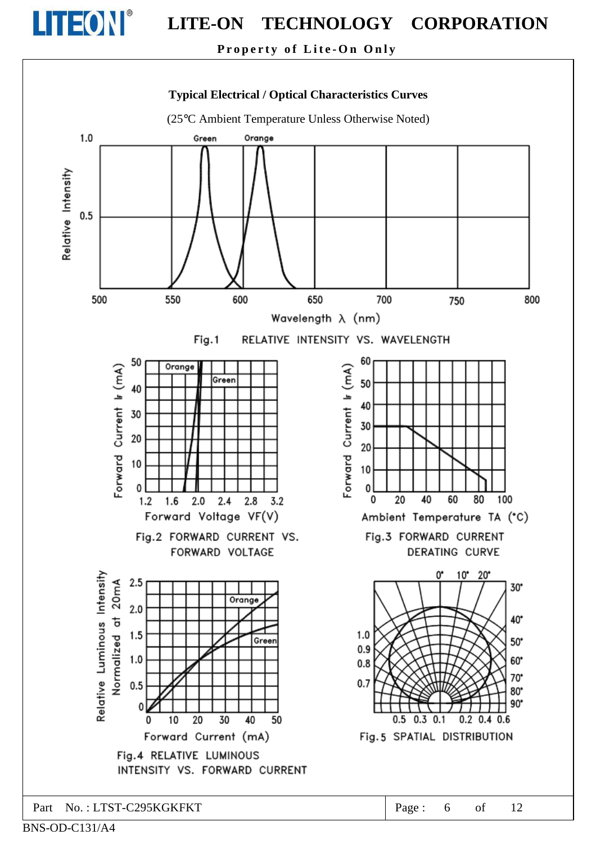

Property of Lite-On Only



BNS-OD-C131/A4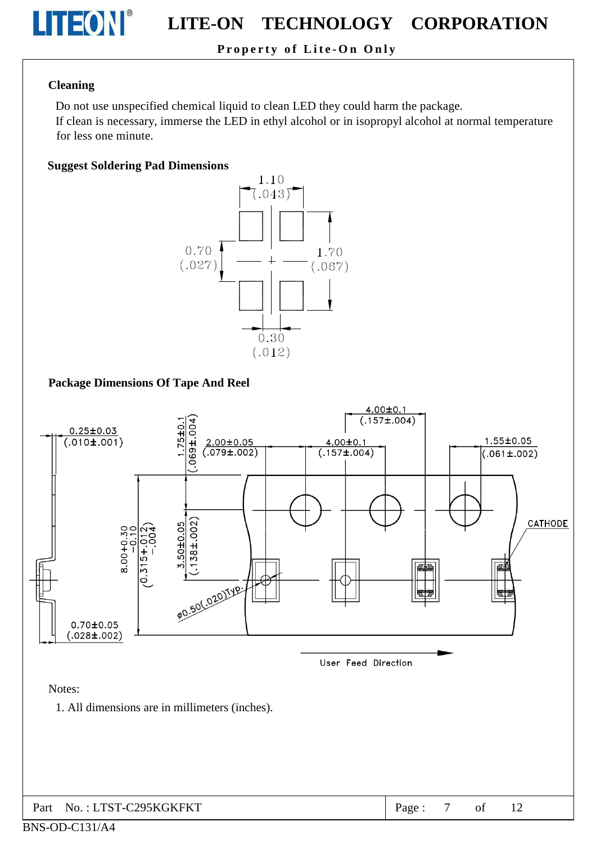

### Property of Lite-On Only

#### **Cleaning**

Do not use unspecified chemical liquid to clean LED they could harm the package.

If clean is necessary, immerse the LED in ethyl alcohol or in isopropyl alcohol at normal temperature for less one minute.

#### **Suggest Soldering Pad Dimensions**



#### **Package Dimensions Of Tape And Reel**



 $\overline{7}$ Part No.: LTST-C295KGKFKT Page:  $\sigma$ f

#### BNS-OD-C131/A4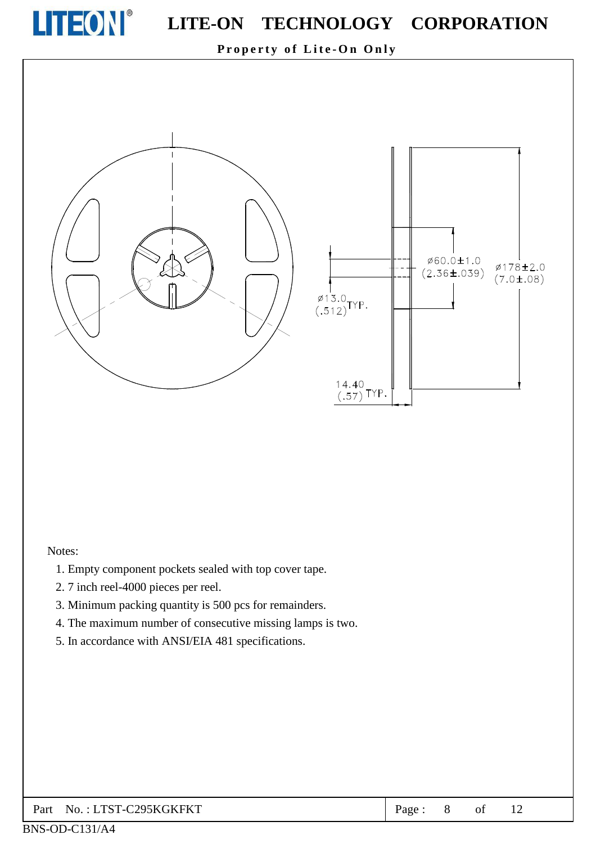

Property of Lite-On Only



#### Notes:

- 1. Empty component pockets sealed with top cover tape.
- 2.7 inch reel-4000 pieces per reel.
- 3. Minimum packing quantity is 500 pcs for remainders.
- 4. The maximum number of consecutive missing lamps is two.
- 5. In accordance with ANSI/EIA 481 specifications.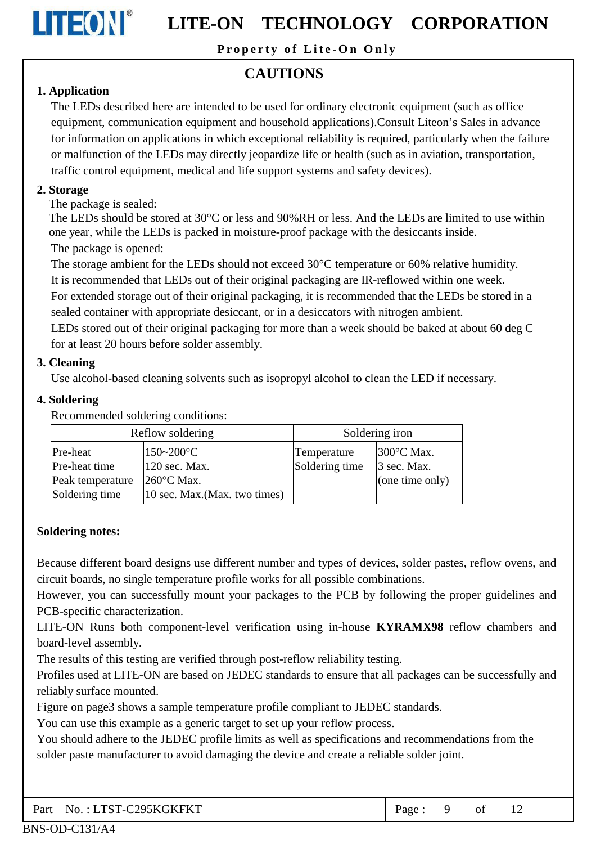

Property of Lite-On Only

## **CAUTIONS**

### 1. Application

The LEDs described here are intended to be used for ordinary electronic equipment (such as office equipment, communication equipment and household applications). Consult Liteon's Sales in advance for information on applications in which exceptional reliability is required, particularly when the failure or malfunction of the LEDs may directly jeopardize life or health (such as in aviation, transportation, traffic control equipment, medical and life support systems and safety devices).

#### 2. Storage

The package is sealed:

The LEDs should be stored at 30 °C or less and 90% RH or less. And the LEDs are limited to use within one year, while the LEDs is packed in moisture-proof package with the desiccants inside. The package is opened:

The storage ambient for the LEDs should not exceed 30°C temperature or 60% relative humidity.

It is recommended that LEDs out of their original packaging are IR-reflowed within one week.

For extended storage out of their original packaging, it is recommended that the LEDs be stored in a sealed container with appropriate desiccant, or in a desiccators with nitrogen ambient.

LEDs stored out of their original packaging for more than a week should be baked at about 60 deg C for at least 20 hours before solder assembly.

### 3. Cleaning

Use alcohol-based cleaning solvents such as isopropyl alcohol to clean the LED if necessary.

#### 4. Soldering

Recommended soldering conditions:

|                  | Reflow soldering              | Soldering iron |                      |  |
|------------------|-------------------------------|----------------|----------------------|--|
| Pre-heat         | $150 - 200$ °C                | Temperature    | $300^{\circ}$ C Max. |  |
| Pre-heat time    | 120 sec. Max.                 | Soldering time | $\beta$ sec. Max.    |  |
| Peak temperature | $260^{\circ}$ C Max.          |                | (one time only)      |  |
| Soldering time   | 10 sec. Max. (Max. two times) |                |                      |  |

#### **Soldering notes:**

Because different board designs use different number and types of devices, solder pastes, reflow ovens, and circuit boards, no single temperature profile works for all possible combinations.

However, you can successfully mount your packages to the PCB by following the proper guidelines and PCB-specific characterization.

LITE-ON Runs both component-level verification using in-house KYRAMX98 reflow chambers and board-level assembly.

The results of this testing are verified through post-reflow reliability testing.

Profiles used at LITE-ON are based on JEDEC standards to ensure that all packages can be successfully and reliably surface mounted.

Figure on page3 shows a sample temperature profile compliant to JEDEC standards.

You can use this example as a generic target to set up your reflow process.

You should adhere to the JEDEC profile limits as well as specifications and recommendations from the solder paste manufacturer to avoid damaging the device and create a reliable solder joint.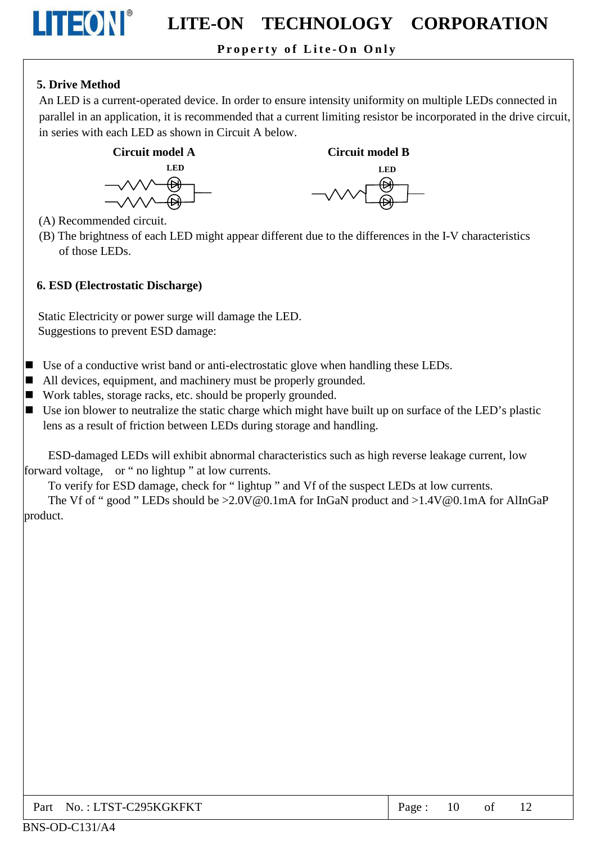### Property of Lite-On Only

### 5. Drive Method

LITEON®

An LED is a current-operated device. In order to ensure intensity uniformity on multiple LEDs connected in parallel in an application, it is recommended that a current limiting resistor be incorporated in the drive circuit, in series with each LED as shown in Circuit A below.



**Circuit model B LED** 



(A) Recommended circuit.

(B) The brightness of each LED might appear different due to the differences in the I-V characteristics of those LEDs

#### 6. ESD (Electrostatic Discharge)

Static Electricity or power surge will damage the LED. Suggestions to prevent ESD damage:

- $\blacksquare$  Use of a conductive wrist band or anti-electrostatic glove when handling these LEDs.
- $\blacksquare$  All devices, equipment, and machinery must be properly grounded.
- Work tables, storage racks, etc. should be properly grounded.
- Use ion blower to neutralize the static charge which might have built up on surface of the LED's plastic lens as a result of friction between LEDs during storage and handling.

ESD-damaged LEDs will exhibit abnormal characteristics such as high reverse leakage current, low forward voltage. or "no lightup" at low currents.

To verify for ESD damage, check for "lightup" and Vf of the suspect LEDs at low currents.

The Vf of "good" LEDs should be  $>2.0V@0.1mA$  for InGaN product and  $>1.4V@0.1mA$  for AlInGaP product.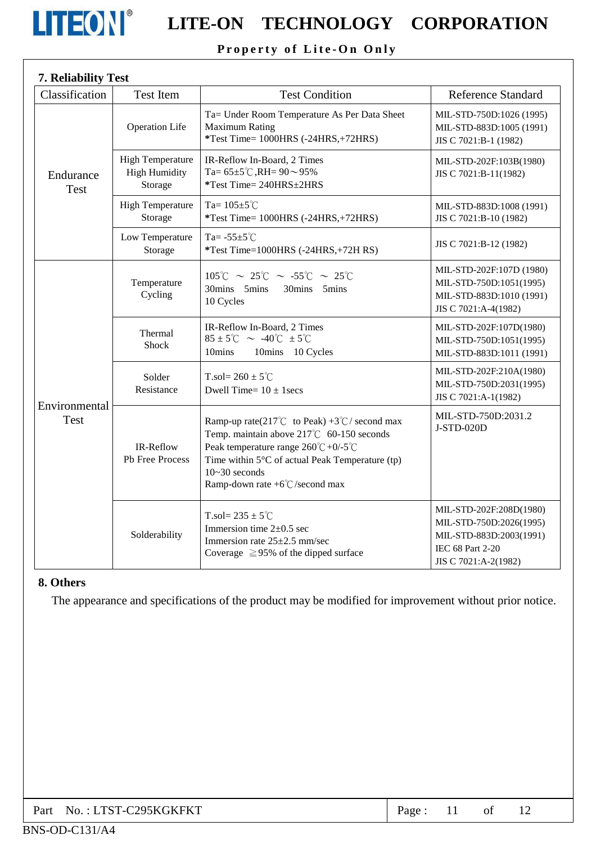

# **LITEON**<sup>®</sup> LITE-ON TECHNOLOGY CORPORATION

### Property of Lite-On Only

| 7. Reliability Test          |                                                            |                                                                                                                                                                                                                                                                       |                                                                                                                           |
|------------------------------|------------------------------------------------------------|-----------------------------------------------------------------------------------------------------------------------------------------------------------------------------------------------------------------------------------------------------------------------|---------------------------------------------------------------------------------------------------------------------------|
| Classification               | <b>Test Item</b>                                           | <b>Test Condition</b>                                                                                                                                                                                                                                                 | <b>Reference Standard</b>                                                                                                 |
| Endurance<br>Test            | <b>Operation Life</b>                                      | Ta= Under Room Temperature As Per Data Sheet<br><b>Maximum Rating</b><br>*Test Time= 1000HRS (-24HRS,+72HRS)                                                                                                                                                          | MIL-STD-750D:1026 (1995)<br>MIL-STD-883D:1005 (1991)<br>JIS C 7021:B-1 (1982)                                             |
|                              | <b>High Temperature</b><br><b>High Humidity</b><br>Storage | IR-Reflow In-Board, 2 Times<br>Ta= $65\pm5^{\circ}$ C, RH= $90\sim95\%$<br>*Test Time= 240HRS±2HRS                                                                                                                                                                    | MIL-STD-202F:103B(1980)<br>JIS C 7021:B-11(1982)                                                                          |
|                              | <b>High Temperature</b><br>Storage                         | Ta= $105 \pm 5^{\circ}$ C<br>*Test Time= 1000HRS (-24HRS,+72HRS)                                                                                                                                                                                                      | MIL-STD-883D:1008 (1991)<br>JIS C 7021:B-10 (1982)                                                                        |
|                              | Low Temperature<br>Storage                                 | Ta= $-55\pm5^{\circ}$ C<br>*Test Time=1000HRS (-24HRS,+72H RS)                                                                                                                                                                                                        | JIS C 7021:B-12 (1982)                                                                                                    |
| Environmental<br><b>Test</b> | Temperature<br>Cycling                                     | $105^{\circ}$ C ~ 25°C ~ -55°C ~ 25°C<br>30mins 5mins<br>30mins 5mins<br>10 Cycles                                                                                                                                                                                    | MIL-STD-202F:107D (1980)<br>MIL-STD-750D:1051(1995)<br>MIL-STD-883D:1010 (1991)<br>JIS C 7021:A-4(1982)                   |
|                              | Thermal<br><b>Shock</b>                                    | IR-Reflow In-Board, 2 Times<br>$85 \pm 5^{\circ}$ C ~ -40 $^{\circ}$ C $\pm 5^{\circ}$ C<br>10mins<br>10mins 10 Cycles                                                                                                                                                | MIL-STD-202F:107D(1980)<br>MIL-STD-750D:1051(1995)<br>MIL-STD-883D:1011 (1991)                                            |
|                              | Solder<br>Resistance                                       | T.sol= $260 \pm 5^{\circ}$ C<br>Dwell Time= $10 \pm 1$ secs                                                                                                                                                                                                           | MIL-STD-202F:210A(1980)<br>MIL-STD-750D:2031(1995)<br>JIS C 7021:A-1(1982)                                                |
|                              | IR-Reflow<br>Pb Free Process                               | Ramp-up rate(217°C to Peak) +3°C/ second max<br>Temp. maintain above 217°C 60-150 seconds<br>Peak temperature range $260^{\circ}C + 0/5^{\circ}C$<br>Time within 5°C of actual Peak Temperature (tp)<br>$10 - 30$ seconds<br>Ramp-down rate $+6^{\circ}$ C/second max | MIL-STD-750D:2031.2<br>J-STD-020D                                                                                         |
|                              | Solderability                                              | T.sol= $235 \pm 5^{\circ}$ C<br>Immersion time $2\pm0.5$ sec<br>Immersion rate 25±2.5 mm/sec<br>Coverage $\geq$ 95% of the dipped surface                                                                                                                             | MIL-STD-202F:208D(1980)<br>MIL-STD-750D:2026(1995)<br>MIL-STD-883D:2003(1991)<br>IEC 68 Part 2-20<br>JIS C 7021:A-2(1982) |

#### 8. Others

The appearance and specifications of the product may be modified for improvement without prior notice.

| Part No.: LTST-C295KGKFKT | Page: $11$ |  |  |  |  |
|---------------------------|------------|--|--|--|--|
|---------------------------|------------|--|--|--|--|